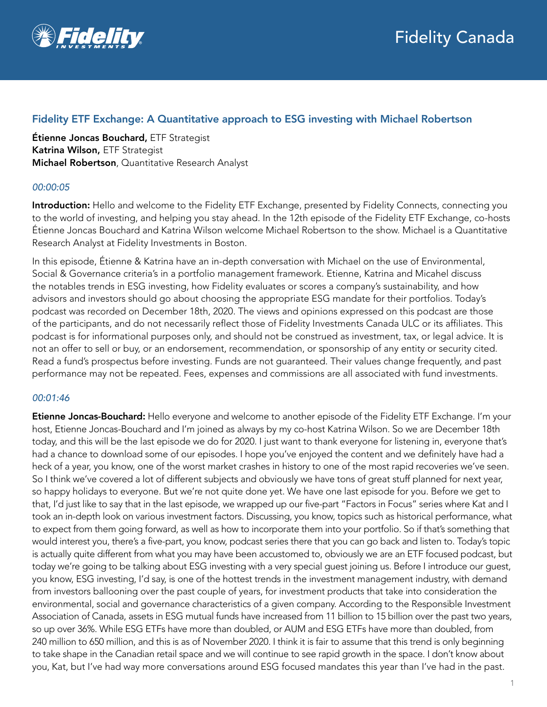

# Fidelity ETF Exchange: A Quantitative approach to ESG investing with Michael Robertson

Étienne Joncas Bouchard, ETF Strategist Katrina Wilson, ETF Strategist Michael Robertson, Quantitative Research Analyst

## *00:00:05*

Introduction: Hello and welcome to the Fidelity ETF Exchange, presented by Fidelity Connects, connecting you to the world of investing, and helping you stay ahead. In the 12th episode of the Fidelity ETF Exchange, co-hosts Étienne Joncas Bouchard and Katrina Wilson welcome Michael Robertson to the show. Michael is a Quantitative Research Analyst at Fidelity Investments in Boston.

In this episode, Étienne & Katrina have an in-depth conversation with Michael on the use of Environmental, Social & Governance criteria's in a portfolio management framework. Etienne, Katrina and Micahel discuss the notables trends in ESG investing, how Fidelity evaluates or scores a company's sustainability, and how advisors and investors should go about choosing the appropriate ESG mandate for their portfolios. Today's podcast was recorded on December 18th, 2020. The views and opinions expressed on this podcast are those of the participants, and do not necessarily reflect those of Fidelity Investments Canada ULC or its affiliates. This podcast is for informational purposes only, and should not be construed as investment, tax, or legal advice. It is not an offer to sell or buy, or an endorsement, recommendation, or sponsorship of any entity or security cited. Read a fund's prospectus before investing. Funds are not guaranteed. Their values change frequently, and past performance may not be repeated. Fees, expenses and commissions are all associated with fund investments.

## *00:01:46*

Etienne Joncas-Bouchard: Hello everyone and welcome to another episode of the Fidelity ETF Exchange. I'm your host, Etienne Joncas-Bouchard and I'm joined as always by my co-host Katrina Wilson. So we are December 18th today, and this will be the last episode we do for 2020. I just want to thank everyone for listening in, everyone that's had a chance to download some of our episodes. I hope you've enjoyed the content and we definitely have had a heck of a year, you know, one of the worst market crashes in history to one of the most rapid recoveries we've seen. So I think we've covered a lot of different subjects and obviously we have tons of great stuff planned for next year, so happy holidays to everyone. But we're not quite done yet. We have one last episode for you. Before we get to that, I'd just like to say that in the last episode, we wrapped up our five-part "Factors in Focus" series where Kat and I took an in-depth look on various investment factors. Discussing, you know, topics such as historical performance, what to expect from them going forward, as well as how to incorporate them into your portfolio. So if that's something that would interest you, there's a five-part, you know, podcast series there that you can go back and listen to. Today's topic is actually quite different from what you may have been accustomed to, obviously we are an ETF focused podcast, but today we're going to be talking about ESG investing with a very special guest joining us. Before I introduce our guest, you know, ESG investing, I'd say, is one of the hottest trends in the investment management industry, with demand from investors ballooning over the past couple of years, for investment products that take into consideration the environmental, social and governance characteristics of a given company. According to the Responsible Investment Association of Canada, assets in ESG mutual funds have increased from 11 billion to 15 billion over the past two years, so up over 36%. While ESG ETFs have more than doubled, or AUM and ESG ETFs have more than doubled, from 240 million to 650 million, and this is as of November 2020. I think it is fair to assume that this trend is only beginning to take shape in the Canadian retail space and we will continue to see rapid growth in the space. I don't know about you, Kat, but I've had way more conversations around ESG focused mandates this year than I've had in the past.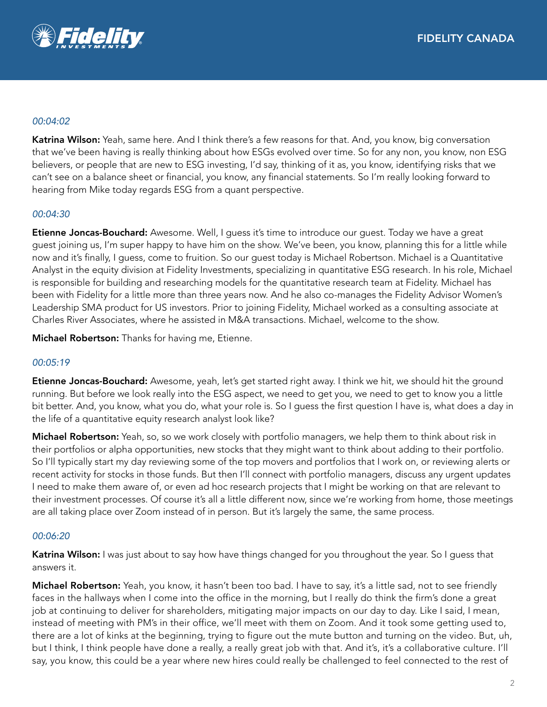

### *00:04:02*

Katrina Wilson: Yeah, same here. And I think there's a few reasons for that. And, you know, big conversation that we've been having is really thinking about how ESGs evolved over time. So for any non, you know, non ESG believers, or people that are new to ESG investing, I'd say, thinking of it as, you know, identifying risks that we can't see on a balance sheet or financial, you know, any financial statements. So I'm really looking forward to hearing from Mike today regards ESG from a quant perspective.

## *00:04:30*

**Etienne Joncas-Bouchard:** Awesome. Well, I guess it's time to introduce our guest. Today we have a great guest joining us, I'm super happy to have him on the show. We've been, you know, planning this for a little while now and it's finally, I guess, come to fruition. So our guest today is Michael Robertson. Michael is a Quantitative Analyst in the equity division at Fidelity Investments, specializing in quantitative ESG research. In his role, Michael is responsible for building and researching models for the quantitative research team at Fidelity. Michael has been with Fidelity for a little more than three years now. And he also co-manages the Fidelity Advisor Women's Leadership SMA product for US investors. Prior to joining Fidelity, Michael worked as a consulting associate at Charles River Associates, where he assisted in M&A transactions. Michael, welcome to the show.

Michael Robertson: Thanks for having me, Etienne.

#### *00:05:19*

Etienne Joncas-Bouchard: Awesome, yeah, let's get started right away. I think we hit, we should hit the ground running. But before we look really into the ESG aspect, we need to get you, we need to get to know you a little bit better. And, you know, what you do, what your role is. So I guess the first question I have is, what does a day in the life of a quantitative equity research analyst look like?

Michael Robertson: Yeah, so, so we work closely with portfolio managers, we help them to think about risk in their portfolios or alpha opportunities, new stocks that they might want to think about adding to their portfolio. So I'll typically start my day reviewing some of the top movers and portfolios that I work on, or reviewing alerts or recent activity for stocks in those funds. But then I'll connect with portfolio managers, discuss any urgent updates I need to make them aware of, or even ad hoc research projects that I might be working on that are relevant to their investment processes. Of course it's all a little different now, since we're working from home, those meetings are all taking place over Zoom instead of in person. But it's largely the same, the same process.

#### *00:06:20*

Katrina Wilson: I was just about to say how have things changed for you throughout the year. So I guess that answers it.

Michael Robertson: Yeah, you know, it hasn't been too bad. I have to say, it's a little sad, not to see friendly faces in the hallways when I come into the office in the morning, but I really do think the firm's done a great job at continuing to deliver for shareholders, mitigating major impacts on our day to day. Like I said, I mean, instead of meeting with PM's in their office, we'll meet with them on Zoom. And it took some getting used to, there are a lot of kinks at the beginning, trying to figure out the mute button and turning on the video. But, uh, but I think, I think people have done a really, a really great job with that. And it's, it's a collaborative culture. I'll say, you know, this could be a year where new hires could really be challenged to feel connected to the rest of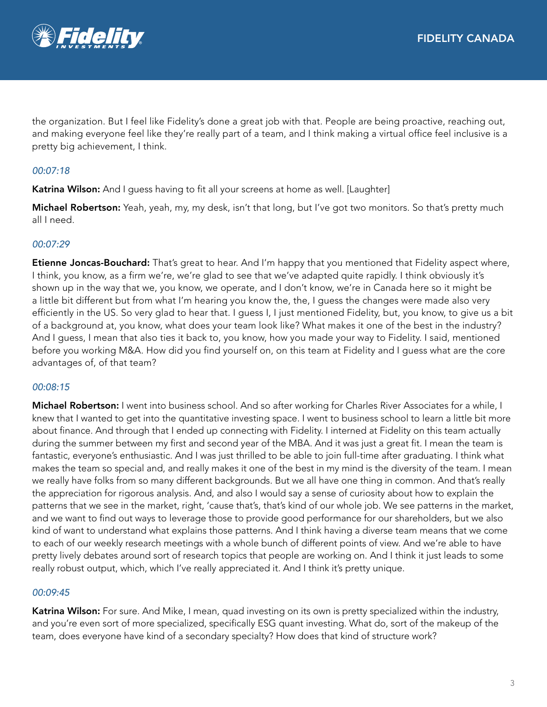

the organization. But I feel like Fidelity's done a great job with that. People are being proactive, reaching out, and making everyone feel like they're really part of a team, and I think making a virtual office feel inclusive is a pretty big achievement, I think.

# *00:07:18*

Katrina Wilson: And I quess having to fit all your screens at home as well. [Laughter]

Michael Robertson: Yeah, yeah, my, my desk, isn't that long, but I've got two monitors. So that's pretty much all I need.

## *00:07:29*

**Etienne Joncas-Bouchard:** That's great to hear. And I'm happy that you mentioned that Fidelity aspect where, I think, you know, as a firm we're, we're glad to see that we've adapted quite rapidly. I think obviously it's shown up in the way that we, you know, we operate, and I don't know, we're in Canada here so it might be a little bit different but from what I'm hearing you know the, the, I guess the changes were made also very efficiently in the US. So very glad to hear that. I guess I, I just mentioned Fidelity, but, you know, to give us a bit of a background at, you know, what does your team look like? What makes it one of the best in the industry? And I guess, I mean that also ties it back to, you know, how you made your way to Fidelity. I said, mentioned before you working M&A. How did you find yourself on, on this team at Fidelity and I guess what are the core advantages of, of that team?

#### *00:08:15*

Michael Robertson: I went into business school. And so after working for Charles River Associates for a while, I knew that I wanted to get into the quantitative investing space. I went to business school to learn a little bit more about finance. And through that I ended up connecting with Fidelity. I interned at Fidelity on this team actually during the summer between my first and second year of the MBA. And it was just a great fit. I mean the team is fantastic, everyone's enthusiastic. And I was just thrilled to be able to join full-time after graduating. I think what makes the team so special and, and really makes it one of the best in my mind is the diversity of the team. I mean we really have folks from so many different backgrounds. But we all have one thing in common. And that's really the appreciation for rigorous analysis. And, and also I would say a sense of curiosity about how to explain the patterns that we see in the market, right, 'cause that's, that's kind of our whole job. We see patterns in the market, and we want to find out ways to leverage those to provide good performance for our shareholders, but we also kind of want to understand what explains those patterns. And I think having a diverse team means that we come to each of our weekly research meetings with a whole bunch of different points of view. And we're able to have pretty lively debates around sort of research topics that people are working on. And I think it just leads to some really robust output, which, which I've really appreciated it. And I think it's pretty unique.

#### *00:09:45*

Katrina Wilson: For sure. And Mike, I mean, quad investing on its own is pretty specialized within the industry, and you're even sort of more specialized, specifically ESG quant investing. What do, sort of the makeup of the team, does everyone have kind of a secondary specialty? How does that kind of structure work?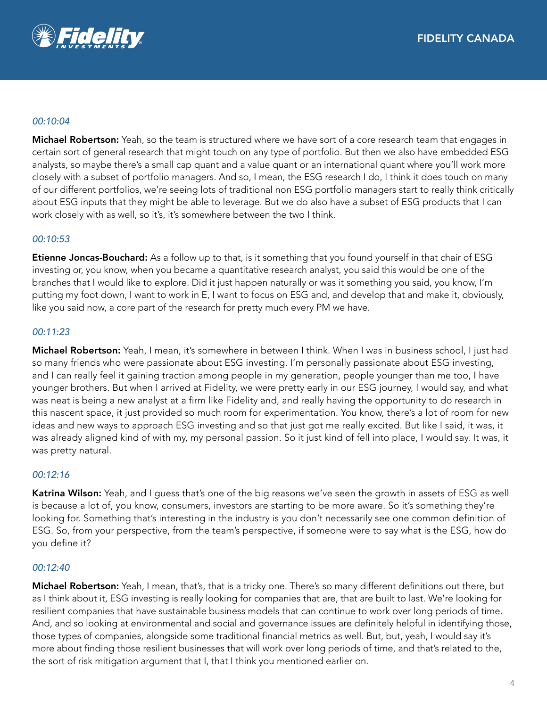

### *00:10:04*

Michael Robertson: Yeah, so the team is structured where we have sort of a core research team that engages in certain sort of general research that might touch on any type of portfolio. But then we also have embedded ESG analysts, so maybe there's a small cap quant and a value quant or an international quant where you'll work more closely with a subset of portfolio managers. And so, I mean, the ESG research I do, I think it does touch on many of our different portfolios, we're seeing lots of traditional non ESG portfolio managers start to really think critically about ESG inputs that they might be able to leverage. But we do also have a subset of ESG products that I can work closely with as well, so it's, it's somewhere between the two I think.

## *00:10:53*

Etienne Joncas-Bouchard: As a follow up to that, is it something that you found yourself in that chair of ESG investing or, you know, when you became a quantitative research analyst, you said this would be one of the branches that I would like to explore. Did it just happen naturally or was it something you said, you know, I'm putting my foot down, I want to work in E, I want to focus on ESG and, and develop that and make it, obviously, like you said now, a core part of the research for pretty much every PM we have.

## *00:11:23*

Michael Robertson: Yeah, I mean, it's somewhere in between I think. When I was in business school, I just had so many friends who were passionate about ESG investing. I'm personally passionate about ESG investing, and I can really feel it gaining traction among people in my generation, people younger than me too, I have younger brothers. But when I arrived at Fidelity, we were pretty early in our ESG journey, I would say, and what was neat is being a new analyst at a firm like Fidelity and, and really having the opportunity to do research in this nascent space, it just provided so much room for experimentation. You know, there's a lot of room for new ideas and new ways to approach ESG investing and so that just got me really excited. But like I said, it was, it was already aligned kind of with my, my personal passion. So it just kind of fell into place, I would say. It was, it was pretty natural.

#### *00:12:16*

Katrina Wilson: Yeah, and I guess that's one of the big reasons we've seen the growth in assets of ESG as well is because a lot of, you know, consumers, investors are starting to be more aware. So it's something they're looking for. Something that's interesting in the industry is you don't necessarily see one common definition of ESG. So, from your perspective, from the team's perspective, if someone were to say what is the ESG, how do you define it?

#### *00:12:40*

Michael Robertson: Yeah, I mean, that's, that is a tricky one. There's so many different definitions out there, but as I think about it, ESG investing is really looking for companies that are, that are built to last. We're looking for resilient companies that have sustainable business models that can continue to work over long periods of time. And, and so looking at environmental and social and governance issues are definitely helpful in identifying those, those types of companies, alongside some traditional financial metrics as well. But, but, yeah, I would say it's more about finding those resilient businesses that will work over long periods of time, and that's related to the, the sort of risk mitigation argument that I, that I think you mentioned earlier on.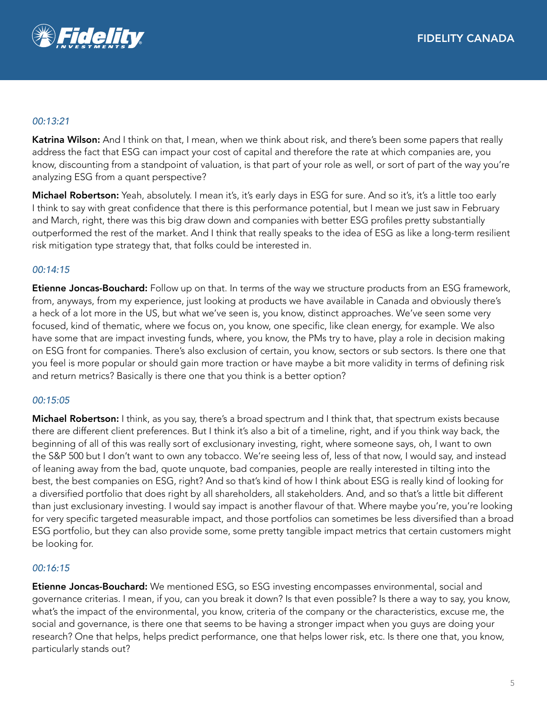

## *00:13:21*

Katrina Wilson: And I think on that, I mean, when we think about risk, and there's been some papers that really address the fact that ESG can impact your cost of capital and therefore the rate at which companies are, you know, discounting from a standpoint of valuation, is that part of your role as well, or sort of part of the way you're analyzing ESG from a quant perspective?

Michael Robertson: Yeah, absolutely. I mean it's, it's early days in ESG for sure. And so it's, it's a little too early I think to say with great confidence that there is this performance potential, but I mean we just saw in February and March, right, there was this big draw down and companies with better ESG profiles pretty substantially outperformed the rest of the market. And I think that really speaks to the idea of ESG as like a long-term resilient risk mitigation type strategy that, that folks could be interested in.

## *00:14:15*

**Etienne Joncas-Bouchard:** Follow up on that. In terms of the way we structure products from an ESG framework, from, anyways, from my experience, just looking at products we have available in Canada and obviously there's a heck of a lot more in the US, but what we've seen is, you know, distinct approaches. We've seen some very focused, kind of thematic, where we focus on, you know, one specific, like clean energy, for example. We also have some that are impact investing funds, where, you know, the PMs try to have, play a role in decision making on ESG front for companies. There's also exclusion of certain, you know, sectors or sub sectors. Is there one that you feel is more popular or should gain more traction or have maybe a bit more validity in terms of defining risk and return metrics? Basically is there one that you think is a better option?

#### *00:15:05*

Michael Robertson: I think, as you say, there's a broad spectrum and I think that, that spectrum exists because there are different client preferences. But I think it's also a bit of a timeline, right, and if you think way back, the beginning of all of this was really sort of exclusionary investing, right, where someone says, oh, I want to own the S&P 500 but I don't want to own any tobacco. We're seeing less of, less of that now, I would say, and instead of leaning away from the bad, quote unquote, bad companies, people are really interested in tilting into the best, the best companies on ESG, right? And so that's kind of how I think about ESG is really kind of looking for a diversified portfolio that does right by all shareholders, all stakeholders. And, and so that's a little bit different than just exclusionary investing. I would say impact is another flavour of that. Where maybe you're, you're looking for very specific targeted measurable impact, and those portfolios can sometimes be less diversified than a broad ESG portfolio, but they can also provide some, some pretty tangible impact metrics that certain customers might be looking for.

#### *00:16:15*

**Etienne Joncas-Bouchard:** We mentioned ESG, so ESG investing encompasses environmental, social and governance criterias. I mean, if you, can you break it down? Is that even possible? Is there a way to say, you know, what's the impact of the environmental, you know, criteria of the company or the characteristics, excuse me, the social and governance, is there one that seems to be having a stronger impact when you guys are doing your research? One that helps, helps predict performance, one that helps lower risk, etc. Is there one that, you know, particularly stands out?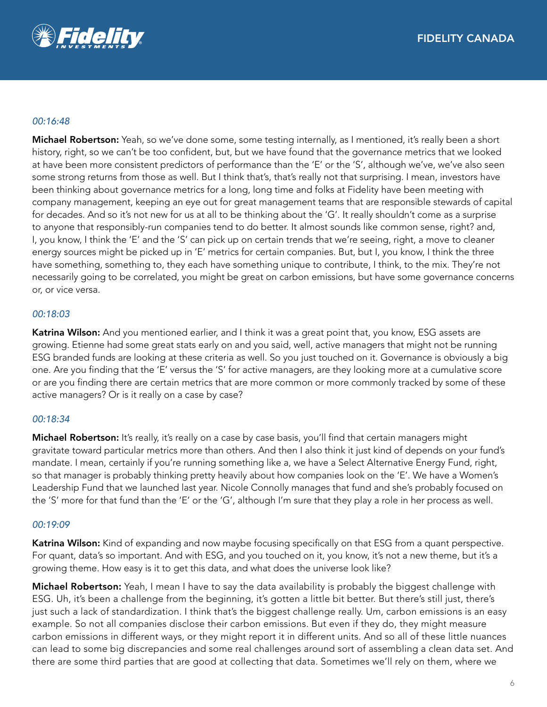

### *00:16:48*

Michael Robertson: Yeah, so we've done some, some testing internally, as I mentioned, it's really been a short history, right, so we can't be too confident, but, but we have found that the governance metrics that we looked at have been more consistent predictors of performance than the 'E' or the 'S', although we've, we've also seen some strong returns from those as well. But I think that's, that's really not that surprising. I mean, investors have been thinking about governance metrics for a long, long time and folks at Fidelity have been meeting with company management, keeping an eye out for great management teams that are responsible stewards of capital for decades. And so it's not new for us at all to be thinking about the 'G'. It really shouldn't come as a surprise to anyone that responsibly-run companies tend to do better. It almost sounds like common sense, right? and, I, you know, I think the 'E' and the 'S' can pick up on certain trends that we're seeing, right, a move to cleaner energy sources might be picked up in 'E' metrics for certain companies. But, but I, you know, I think the three have something, something to, they each have something unique to contribute, I think, to the mix. They're not necessarily going to be correlated, you might be great on carbon emissions, but have some governance concerns or, or vice versa.

## *00:18:03*

Katrina Wilson: And you mentioned earlier, and I think it was a great point that, you know, ESG assets are growing. Etienne had some great stats early on and you said, well, active managers that might not be running ESG branded funds are looking at these criteria as well. So you just touched on it. Governance is obviously a big one. Are you finding that the 'E' versus the 'S' for active managers, are they looking more at a cumulative score or are you finding there are certain metrics that are more common or more commonly tracked by some of these active managers? Or is it really on a case by case?

#### *00:18:34*

**Michael Robertson:** It's really, it's really on a case by case basis, you'll find that certain managers might gravitate toward particular metrics more than others. And then I also think it just kind of depends on your fund's mandate. I mean, certainly if you're running something like a, we have a Select Alternative Energy Fund, right, so that manager is probably thinking pretty heavily about how companies look on the 'E'. We have a Women's Leadership Fund that we launched last year. Nicole Connolly manages that fund and she's probably focused on the 'S' more for that fund than the 'E' or the 'G', although I'm sure that they play a role in her process as well.

#### *00:19:09*

Katrina Wilson: Kind of expanding and now maybe focusing specifically on that ESG from a quant perspective. For quant, data's so important. And with ESG, and you touched on it, you know, it's not a new theme, but it's a growing theme. How easy is it to get this data, and what does the universe look like?

**Michael Robertson:** Yeah, I mean I have to say the data availability is probably the biggest challenge with ESG. Uh, it's been a challenge from the beginning, it's gotten a little bit better. But there's still just, there's just such a lack of standardization. I think that's the biggest challenge really. Um, carbon emissions is an easy example. So not all companies disclose their carbon emissions. But even if they do, they might measure carbon emissions in different ways, or they might report it in different units. And so all of these little nuances can lead to some big discrepancies and some real challenges around sort of assembling a clean data set. And there are some third parties that are good at collecting that data. Sometimes we'll rely on them, where we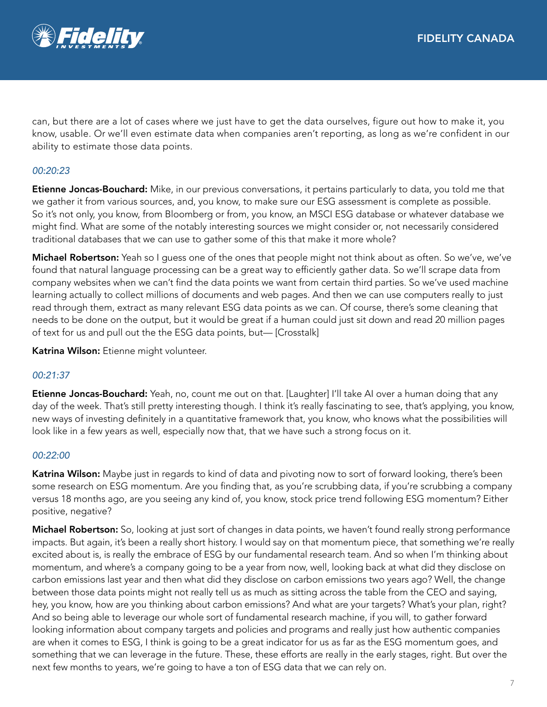

can, but there are a lot of cases where we just have to get the data ourselves, figure out how to make it, you know, usable. Or we'll even estimate data when companies aren't reporting, as long as we're confident in our ability to estimate those data points.

## *00:20:23*

Etienne Joncas-Bouchard: Mike, in our previous conversations, it pertains particularly to data, you told me that we gather it from various sources, and, you know, to make sure our ESG assessment is complete as possible. So it's not only, you know, from Bloomberg or from, you know, an MSCI ESG database or whatever database we might find. What are some of the notably interesting sources we might consider or, not necessarily considered traditional databases that we can use to gather some of this that make it more whole?

Michael Robertson: Yeah so I quess one of the ones that people might not think about as often. So we've, we've found that natural language processing can be a great way to efficiently gather data. So we'll scrape data from company websites when we can't find the data points we want from certain third parties. So we've used machine learning actually to collect millions of documents and web pages. And then we can use computers really to just read through them, extract as many relevant ESG data points as we can. Of course, there's some cleaning that needs to be done on the output, but it would be great if a human could just sit down and read 20 million pages of text for us and pull out the the ESG data points, but— [Crosstalk]

Katrina Wilson: Etienne might volunteer.

## *00:21:37*

Etienne Joncas-Bouchard: Yeah, no, count me out on that. [Laughter] I'll take AI over a human doing that any day of the week. That's still pretty interesting though. I think it's really fascinating to see, that's applying, you know, new ways of investing definitely in a quantitative framework that, you know, who knows what the possibilities will look like in a few years as well, especially now that, that we have such a strong focus on it.

#### *00:22:00*

Katrina Wilson: Maybe just in regards to kind of data and pivoting now to sort of forward looking, there's been some research on ESG momentum. Are you finding that, as you're scrubbing data, if you're scrubbing a company versus 18 months ago, are you seeing any kind of, you know, stock price trend following ESG momentum? Either positive, negative?

Michael Robertson: So, looking at just sort of changes in data points, we haven't found really strong performance impacts. But again, it's been a really short history. I would say on that momentum piece, that something we're really excited about is, is really the embrace of ESG by our fundamental research team. And so when I'm thinking about momentum, and where's a company going to be a year from now, well, looking back at what did they disclose on carbon emissions last year and then what did they disclose on carbon emissions two years ago? Well, the change between those data points might not really tell us as much as sitting across the table from the CEO and saying, hey, you know, how are you thinking about carbon emissions? And what are your targets? What's your plan, right? And so being able to leverage our whole sort of fundamental research machine, if you will, to gather forward looking information about company targets and policies and programs and really just how authentic companies are when it comes to ESG, I think is going to be a great indicator for us as far as the ESG momentum goes, and something that we can leverage in the future. These, these efforts are really in the early stages, right. But over the next few months to years, we're going to have a ton of ESG data that we can rely on.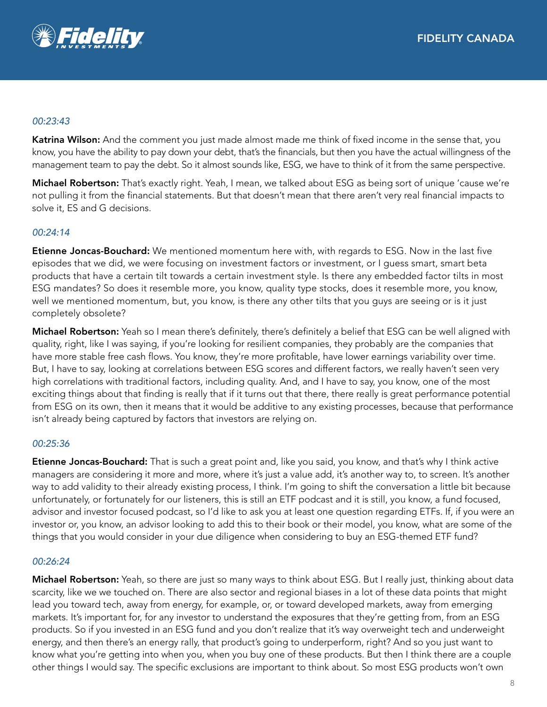

### *00:23:43*

Katrina Wilson: And the comment you just made almost made me think of fixed income in the sense that, you know, you have the ability to pay down your debt, that's the financials, but then you have the actual willingness of the management team to pay the debt. So it almost sounds like, ESG, we have to think of it from the same perspective.

Michael Robertson: That's exactly right. Yeah, I mean, we talked about ESG as being sort of unique 'cause we're not pulling it from the financial statements. But that doesn't mean that there aren't very real financial impacts to solve it, ES and G decisions.

## *00:24:14*

Etienne Joncas-Bouchard: We mentioned momentum here with, with regards to ESG. Now in the last five episodes that we did, we were focusing on investment factors or investment, or I guess smart, smart beta products that have a certain tilt towards a certain investment style. Is there any embedded factor tilts in most ESG mandates? So does it resemble more, you know, quality type stocks, does it resemble more, you know, well we mentioned momentum, but, you know, is there any other tilts that you guys are seeing or is it just completely obsolete?

Michael Robertson: Yeah so I mean there's definitely, there's definitely a belief that ESG can be well aligned with quality, right, like I was saying, if you're looking for resilient companies, they probably are the companies that have more stable free cash flows. You know, they're more profitable, have lower earnings variability over time. But, I have to say, looking at correlations between ESG scores and different factors, we really haven't seen very high correlations with traditional factors, including quality. And, and I have to say, you know, one of the most exciting things about that finding is really that if it turns out that there, there really is great performance potential from ESG on its own, then it means that it would be additive to any existing processes, because that performance isn't already being captured by factors that investors are relying on.

#### *00:25:36*

Etienne Joncas-Bouchard: That is such a great point and, like you said, you know, and that's why I think active managers are considering it more and more, where it's just a value add, it's another way to, to screen. It's another way to add validity to their already existing process, I think. I'm going to shift the conversation a little bit because unfortunately, or fortunately for our listeners, this is still an ETF podcast and it is still, you know, a fund focused, advisor and investor focused podcast, so I'd like to ask you at least one question regarding ETFs. If, if you were an investor or, you know, an advisor looking to add this to their book or their model, you know, what are some of the things that you would consider in your due diligence when considering to buy an ESG-themed ETF fund?

#### *00:26:24*

Michael Robertson: Yeah, so there are just so many ways to think about ESG. But I really just, thinking about data scarcity, like we we touched on. There are also sector and regional biases in a lot of these data points that might lead you toward tech, away from energy, for example, or, or toward developed markets, away from emerging markets. It's important for, for any investor to understand the exposures that they're getting from, from an ESG products. So if you invested in an ESG fund and you don't realize that it's way overweight tech and underweight energy, and then there's an energy rally, that product's going to underperform, right? And so you just want to know what you're getting into when you, when you buy one of these products. But then I think there are a couple other things I would say. The specific exclusions are important to think about. So most ESG products won't own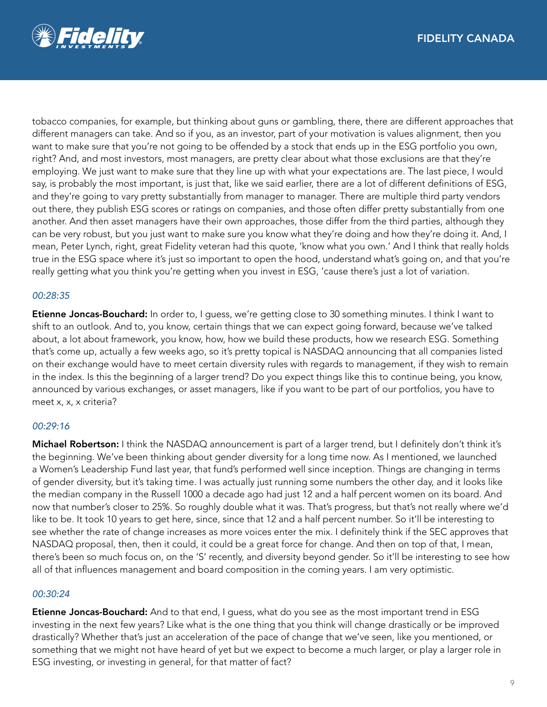

tobacco companies, for example, but thinking about guns or gambling, there, there are different approaches that different managers can take. And so if you, as an investor, part of your motivation is values alignment, then you want to make sure that you're not going to be offended by a stock that ends up in the ESG portfolio you own, right? And, and most investors, most managers, are pretty clear about what those exclusions are that they're employing. We just want to make sure that they line up with what your expectations are. The last piece, I would say, is probably the most important, is just that, like we said earlier, there are a lot of different definitions of ESG, and they're going to vary pretty substantially from manager to manager. There are multiple third party vendors out there, they publish ESG scores or ratings on companies, and those often differ pretty substantially from one another. And then asset managers have their own approaches, those differ from the third parties, although they can be very robust, but you just want to make sure you know what they're doing and how they're doing it. And, I mean, Peter Lynch, right, great Fidelity veteran had this quote, 'know what you own.' And I think that really holds true in the ESG space where it's just so important to open the hood, understand what's going on, and that you're really getting what you think you're getting when you invest in ESG, 'cause there's just a lot of variation.

## *00:28:35*

Etienne Joncas-Bouchard: In order to, I guess, we're getting close to 30 something minutes. I think I want to shift to an outlook. And to, you know, certain things that we can expect going forward, because we've talked about, a lot about framework, you know, how, how we build these products, how we research ESG. Something that's come up, actually a few weeks ago, so it's pretty topical is NASDAQ announcing that all companies listed on their exchange would have to meet certain diversity rules with regards to management, if they wish to remain in the index. Is this the beginning of a larger trend? Do you expect things like this to continue being, you know, announced by various exchanges, or asset managers, like if you want to be part of our portfolios, you have to meet x, x, x criteria?

#### *00:29:16*

Michael Robertson: I think the NASDAQ announcement is part of a larger trend, but I definitely don't think it's the beginning. We've been thinking about gender diversity for a long time now. As I mentioned, we launched a Women's Leadership Fund last year, that fund's performed well since inception. Things are changing in terms of gender diversity, but it's taking time. I was actually just running some numbers the other day, and it looks like the median company in the Russell 1000 a decade ago had just 12 and a half percent women on its board. And now that number's closer to 25%. So roughly double what it was. That's progress, but that's not really where we'd like to be. It took 10 years to get here, since, since that 12 and a half percent number. So it'll be interesting to see whether the rate of change increases as more voices enter the mix. I definitely think if the SEC approves that NASDAQ proposal, then, then it could, it could be a great force for change. And then on top of that, I mean, there's been so much focus on, on the 'S' recently, and diversity beyond gender. So it'll be interesting to see how all of that influences management and board composition in the coming years. I am very optimistic.

#### *00:30:24*

**Etienne Joncas-Bouchard:** And to that end, I guess, what do you see as the most important trend in ESG investing in the next few years? Like what is the one thing that you think will change drastically or be improved drastically? Whether that's just an acceleration of the pace of change that we've seen, like you mentioned, or something that we might not have heard of yet but we expect to become a much larger, or play a larger role in ESG investing, or investing in general, for that matter of fact?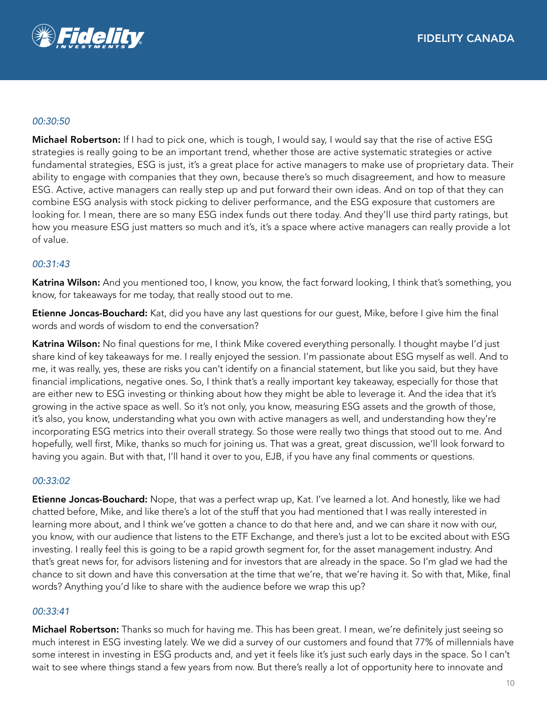

#### *00:30:50*

Michael Robertson: If I had to pick one, which is tough, I would say, I would say that the rise of active ESG strategies is really going to be an important trend, whether those are active systematic strategies or active fundamental strategies, ESG is just, it's a great place for active managers to make use of proprietary data. Their ability to engage with companies that they own, because there's so much disagreement, and how to measure ESG. Active, active managers can really step up and put forward their own ideas. And on top of that they can combine ESG analysis with stock picking to deliver performance, and the ESG exposure that customers are looking for. I mean, there are so many ESG index funds out there today. And they'll use third party ratings, but how you measure ESG just matters so much and it's, it's a space where active managers can really provide a lot of value.

#### *00:31:43*

Katrina Wilson: And you mentioned too, I know, you know, the fact forward looking, I think that's something, you know, for takeaways for me today, that really stood out to me.

**Etienne Joncas-Bouchard:** Kat, did you have any last questions for our guest, Mike, before I give him the final words and words of wisdom to end the conversation?

Katrina Wilson: No final questions for me, I think Mike covered everything personally. I thought maybe I'd just share kind of key takeaways for me. I really enjoyed the session. I'm passionate about ESG myself as well. And to me, it was really, yes, these are risks you can't identify on a financial statement, but like you said, but they have financial implications, negative ones. So, I think that's a really important key takeaway, especially for those that are either new to ESG investing or thinking about how they might be able to leverage it. And the idea that it's growing in the active space as well. So it's not only, you know, measuring ESG assets and the growth of those, it's also, you know, understanding what you own with active managers as well, and understanding how they're incorporating ESG metrics into their overall strategy. So those were really two things that stood out to me. And hopefully, well first, Mike, thanks so much for joining us. That was a great, great discussion, we'll look forward to having you again. But with that, I'll hand it over to you, EJB, if you have any final comments or questions.

#### *00:33:02*

**Etienne Joncas-Bouchard:** Nope, that was a perfect wrap up, Kat. I've learned a lot. And honestly, like we had chatted before, Mike, and like there's a lot of the stuff that you had mentioned that I was really interested in learning more about, and I think we've gotten a chance to do that here and, and we can share it now with our, you know, with our audience that listens to the ETF Exchange, and there's just a lot to be excited about with ESG investing. I really feel this is going to be a rapid growth segment for, for the asset management industry. And that's great news for, for advisors listening and for investors that are already in the space. So I'm glad we had the chance to sit down and have this conversation at the time that we're, that we're having it. So with that, Mike, final words? Anything you'd like to share with the audience before we wrap this up?

#### *00:33:41*

Michael Robertson: Thanks so much for having me. This has been great. I mean, we're definitely just seeing so much interest in ESG investing lately. We we did a survey of our customers and found that 77% of millennials have some interest in investing in ESG products and, and yet it feels like it's just such early days in the space. So I can't wait to see where things stand a few years from now. But there's really a lot of opportunity here to innovate and